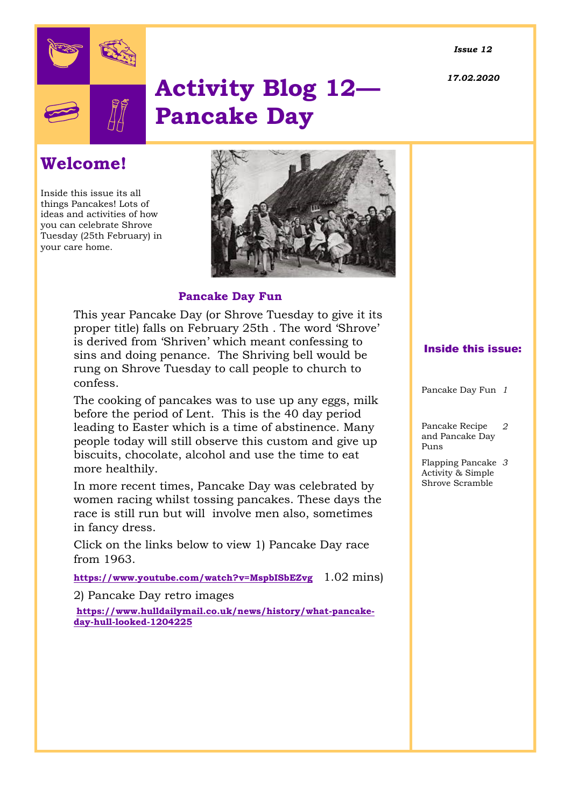*Issue 12*

*17.02.2020*



# **Activity Blog 12— Pancake Day**

# **Welcome!**

Inside this issue its all things Pancakes! Lots of ideas and activities of how you can celebrate Shrove Tuesday (25th February) in your care home.



### **Pancake Day Fun**

This year Pancake Day (or Shrove Tuesday to give it its proper title) falls on February 25th . The word 'Shrove' is derived from 'Shriven' which meant confessing to sins and doing penance. The Shriving bell would be rung on Shrove Tuesday to call people to church to confess.

The cooking of pancakes was to use up any eggs, milk before the period of Lent. This is the 40 day period leading to Easter which is a time of abstinence. Many people today will still observe this custom and give up biscuits, chocolate, alcohol and use the time to eat more healthily.

In more recent times, Pancake Day was celebrated by women racing whilst tossing pancakes. These days the race is still run but will involve men also, sometimes in fancy dress.

Click on the links below to view 1) Pancake Day race from 1963.

**<https://www.youtube.com/watch?v=MspbISbEZvg>** 1.02 mins)

2) Pancake Day retro images

**[https://www.hulldailymail.co.uk/news/history/what-pancake](https://www.hulldailymail.co.uk/news/history/what-pancake-day-hull-looked-1204225)[day-hull-looked-1204225](https://www.hulldailymail.co.uk/news/history/what-pancake-day-hull-looked-1204225)** 

#### Inside this issue:

Pancake Day Fun *1*

Pancake Recipe and Pancake Day Puns *2*

Flapping Pancake *3* Activity & Simple Shrove Scramble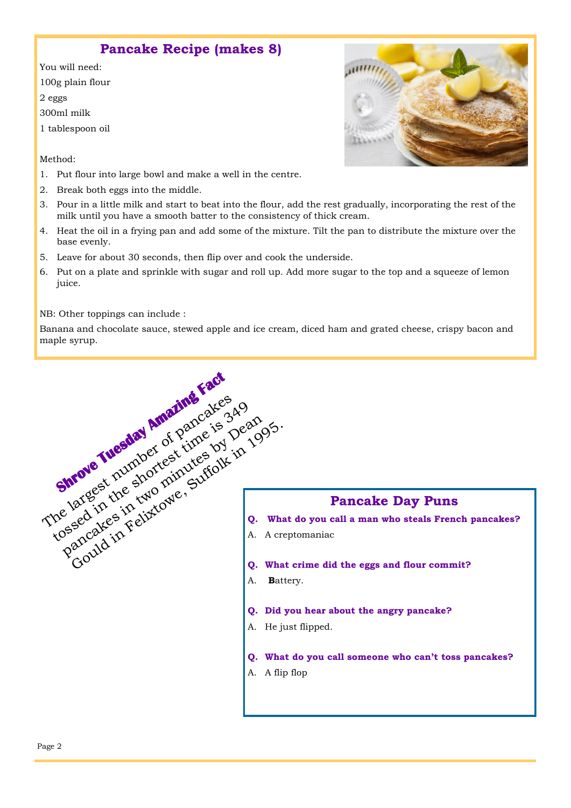## **Pancake Recipe (makes 8)**

You will need: 100g plain flour 2 eggs

300ml milk

1 tablespoon oil

Method:

- 1. Put flour into large bowl and make a well in the centre.
- 2. Break both eggs into the middle.
- 3. Pour in a little milk and start to beat into the flour, add the rest gradually, incorporating the rest of the milk until you have a smooth batter to the consistency of thick cream.
- 4. Heat the oil in a frying pan and add some of the mixture. Tilt the pan to distribute the mixture over the base evenly.
- 5. Leave for about 30 seconds, then flip over and cook the underside.
- 6. Put on a plate and sprinkle with sugar and roll up. Add more sugar to the top and a squeeze of lemon juice.

NB: Other toppings can include :

Banana and chocolate sauce, stewed apple and ice cream, diced ham and grated cheese, crispy bacon and maple syrup.